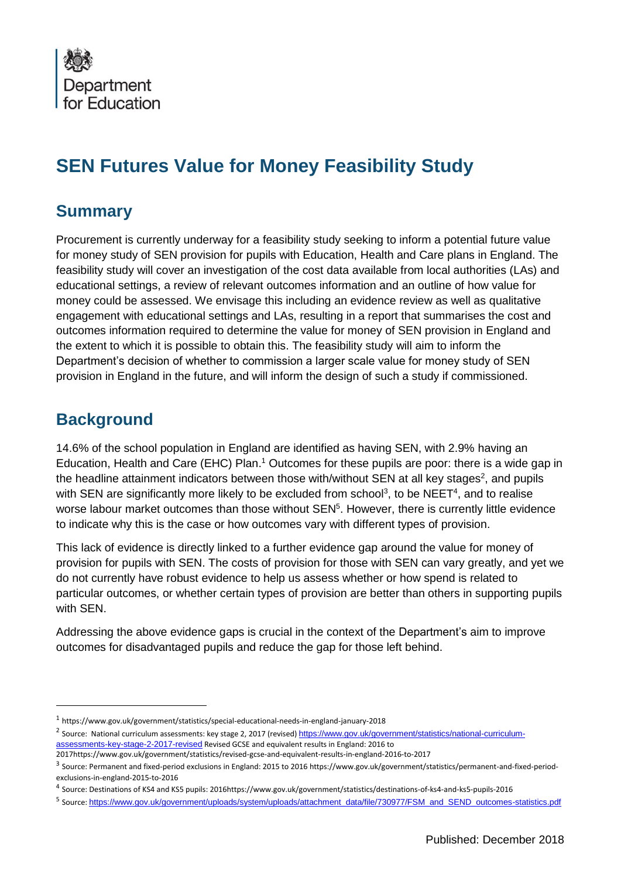

# **SEN Futures Value for Money Feasibility Study**

### **Summary**

Procurement is currently underway for a feasibility study seeking to inform a potential future value for money study of SEN provision for pupils with Education, Health and Care plans in England. The feasibility study will cover an investigation of the cost data available from local authorities (LAs) and educational settings, a review of relevant outcomes information and an outline of how value for money could be assessed. We envisage this including an evidence review as well as qualitative engagement with educational settings and LAs, resulting in a report that summarises the cost and outcomes information required to determine the value for money of SEN provision in England and the extent to which it is possible to obtain this. The feasibility study will aim to inform the Department's decision of whether to commission a larger scale value for money study of SEN provision in England in the future, and will inform the design of such a study if commissioned.

## **Background**

 $\overline{a}$ 

14.6% of the school population in England are identified as having SEN, with 2.9% having an Education, Health and Care (EHC) Plan.<sup>1</sup> Outcomes for these pupils are poor: there is a wide gap in the headline attainment indicators between those with/without SEN at all key stages<sup>2</sup>, and pupils with SEN are significantly more likely to be excluded from school<sup>3</sup>, to be NEET<sup>4</sup>, and to realise worse labour market outcomes than those without  $\text{SEN}^5$ . However, there is currently little evidence to indicate why this is the case or how outcomes vary with different types of provision.

This lack of evidence is directly linked to a further evidence gap around the value for money of provision for pupils with SEN. The costs of provision for those with SEN can vary greatly, and yet we do not currently have robust evidence to help us assess whether or how spend is related to particular outcomes, or whether certain types of provision are better than others in supporting pupils with SEN.

Addressing the above evidence gaps is crucial in the context of the Department's aim to improve outcomes for disadvantaged pupils and reduce the gap for those left behind.

<sup>1</sup> https://www.gov.uk/government/statistics/special-educational-needs-in-england-january-2018

<sup>&</sup>lt;sup>2</sup> Source: National curriculum assessments: key stage 2, 2017 (revised) [https://www.gov.uk/government/statistics/national-curriculum](https://www.gov.uk/government/statistics/national-curriculum-assessments-key-stage-2-2017-revised)[assessments-key-stage-2-2017-revised](https://www.gov.uk/government/statistics/national-curriculum-assessments-key-stage-2-2017-revised) Revised GCSE and equivalent results in England: 2016 to

<sup>2017</sup>https://www.gov.uk/government/statistics/revised-gcse-and-equivalent-results-in-england-2016-to-2017

<sup>3</sup> Source: Permanent and fixed-period exclusions in England: 2015 to 2016 https://www.gov.uk/government/statistics/permanent-and-fixed-periodexclusions-in-england-2015-to-2016

<sup>4</sup> Source: Destinations of KS4 and KS5 pupils: 2016https://www.gov.uk/government/statistics/destinations-of-ks4-and-ks5-pupils-2016

<sup>5</sup> Source: [https://www.gov.uk/government/uploads/system/uploads/attachment\\_data/file/730977/FSM\\_and\\_SEND\\_outcomes-statistics.pdf](https://www.gov.uk/government/uploads/system/uploads/attachment_data/file/730977/FSM_and_SEND_outcomes-statistics.pdf)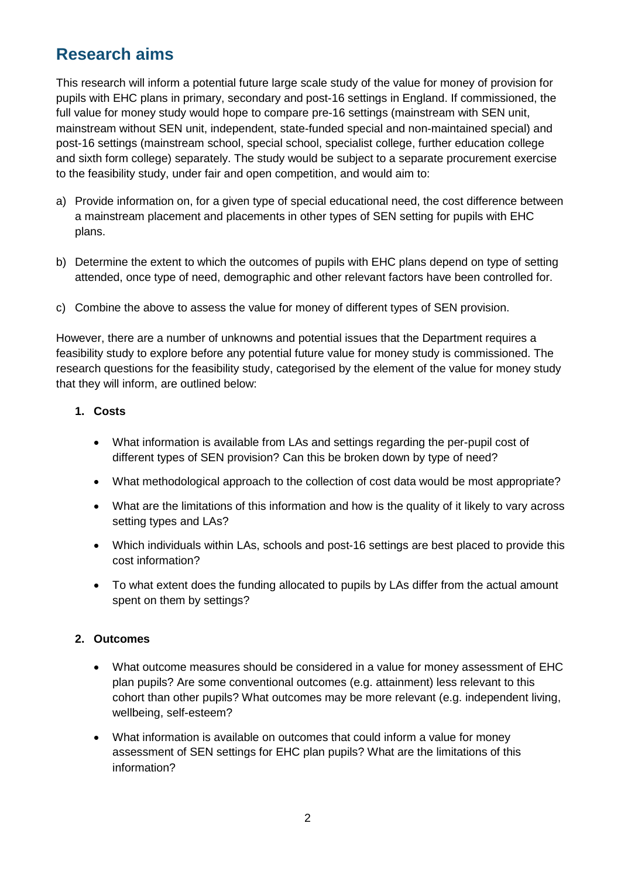# **Research aims**

This research will inform a potential future large scale study of the value for money of provision for pupils with EHC plans in primary, secondary and post-16 settings in England. If commissioned, the full value for money study would hope to compare pre-16 settings (mainstream with SEN unit, mainstream without SEN unit, independent, state-funded special and non-maintained special) and post-16 settings (mainstream school, special school, specialist college, further education college and sixth form college) separately. The study would be subject to a separate procurement exercise to the feasibility study, under fair and open competition, and would aim to:

- a) Provide information on, for a given type of special educational need, the cost difference between a mainstream placement and placements in other types of SEN setting for pupils with EHC plans.
- b) Determine the extent to which the outcomes of pupils with EHC plans depend on type of setting attended, once type of need, demographic and other relevant factors have been controlled for.
- c) Combine the above to assess the value for money of different types of SEN provision.

However, there are a number of unknowns and potential issues that the Department requires a feasibility study to explore before any potential future value for money study is commissioned. The research questions for the feasibility study, categorised by the element of the value for money study that they will inform, are outlined below:

#### **1. Costs**

- What information is available from LAs and settings regarding the per-pupil cost of different types of SEN provision? Can this be broken down by type of need?
- What methodological approach to the collection of cost data would be most appropriate?
- What are the limitations of this information and how is the quality of it likely to vary across setting types and LAs?
- Which individuals within LAs, schools and post-16 settings are best placed to provide this cost information?
- To what extent does the funding allocated to pupils by LAs differ from the actual amount spent on them by settings?

#### **2. Outcomes**

- What outcome measures should be considered in a value for money assessment of EHC plan pupils? Are some conventional outcomes (e.g. attainment) less relevant to this cohort than other pupils? What outcomes may be more relevant (e.g. independent living, wellbeing, self-esteem?
- What information is available on outcomes that could inform a value for money assessment of SEN settings for EHC plan pupils? What are the limitations of this information?